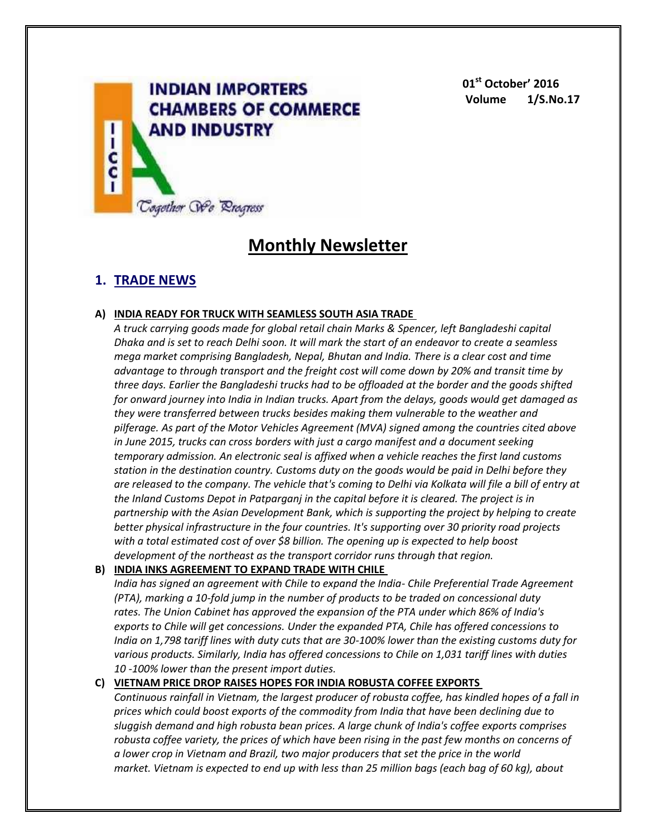

**01st October' 2016 Volume 1/S.No.17**

# **Monthly Newsletter**

# **1. TRADE NEWS**

# **A) INDIA READY FOR TRUCK WITH SEAMLESS SOUTH ASIA TRADE**

*A truck carrying goods made for global retail chain Marks & Spencer, left Bangladeshi capital Dhaka and is set to reach Delhi soon. It will mark the start of an endeavor to create a seamless mega market comprising Bangladesh, Nepal, Bhutan and India. There is a clear cost and time advantage to through transport and the freight cost will come down by 20% and transit time by three days. Earlier the Bangladeshi trucks had to be offloaded at the border and the goods shifted for onward journey into India in Indian trucks. Apart from the delays, goods would get damaged as they were transferred between trucks besides making them vulnerable to the weather and pilferage. As part of the Motor Vehicles Agreement (MVA) signed among the countries cited above in June 2015, trucks can cross borders with just a cargo manifest and a document seeking temporary admission. An electronic seal is affixed when a vehicle reaches the first land customs station in the destination country. Customs duty on the goods would be paid in Delhi before they are released to the company. The vehicle that's coming to Delhi via Kolkata will file a bill of entry at the Inland Customs Depot in Patparganj in the capital before it is cleared. The project is in partnership with the Asian Development Bank, which is supporting the project by helping to create better physical infrastructure in the four countries. It's supporting over 30 priority road projects with a total estimated cost of over \$8 billion. The opening up is expected to help boost development of the northeast as the transport corridor runs through that region.*

# **B) INDIA INKS AGREEMENT TO EXPAND TRADE WITH CHILE**

*India has signed an agreement with Chile to expand the India- Chile Preferential Trade Agreement (PTA), marking a 10-fold jump in the number of products to be traded on concessional duty rates. The Union Cabinet has approved the expansion of the PTA under which 86% of India's exports to Chile will get concessions. Under the expanded PTA, Chile has offered concessions to India on 1,798 tariff lines with duty cuts that are 30-100% lower than the existing customs duty for various products. Similarly, India has offered concessions to Chile on 1,031 tariff lines with duties 10 -100% lower than the present import duties.*

# **C) VIETNAM PRICE DROP RAISES HOPES FOR INDIA ROBUSTA COFFEE EXPORTS**

*Continuous rainfall in Vietnam, the largest producer of robusta coffee, has kindled hopes of a fall in prices which could boost exports of the commodity from India that have been declining due to sluggish demand and high robusta bean prices. A large chunk of India's coffee exports comprises robusta coffee variety, the prices of which have been rising in the past few months on concerns of a lower crop in Vietnam and Brazil, two major producers that set the price in the world market. Vietnam is expected to end up with less than 25 million bags (each bag of 60 kg), about*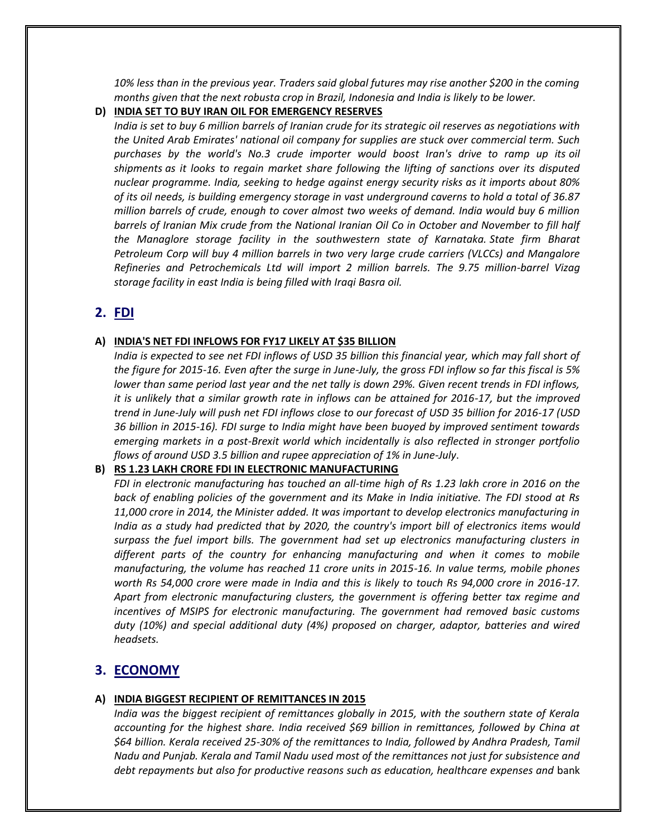*10% less than in the previous year. Traders said global futures may rise another \$200 in the coming months given that the next robusta crop in Brazil, Indonesia and India is likely to be lower.*

#### **D) INDIA SET TO BUY IRAN OIL FOR EMERGENCY RESERVES**

*India is set to buy 6 million barrels of Iranian crude for its strategic oil reserves as negotiations with the United Arab Emirates' national oil company for supplies are stuck over commercial term. Such purchases by the world's No.3 crude importer would boost Iran's drive to ramp up its oil shipments as it looks to regain market share following the lifting of sanctions over its disputed nuclear programme. India, seeking to hedge against energy security risks as it imports about 80% of its oil needs, is building emergency storage in vast underground caverns to hold a total of 36.87 million barrels of crude, enough to cover almost two weeks of demand. India would buy 6 million barrels of Iranian Mix crude from the National Iranian Oil Co in October and November to fill half the Managlore storage facility in the southwestern state of Karnataka. State firm Bharat Petroleum Corp will buy 4 million barrels in two very large crude carriers (VLCCs) and Mangalore Refineries and Petrochemicals Ltd will import 2 million barrels. The 9.75 million-barrel Vizag storage facility in east India is being filled with Iraqi Basra oil.*

# **2. FDI**

# **A) INDIA'S NET FDI INFLOWS FOR FY17 LIKELY AT \$35 BILLION**

*India is expected to see net FDI inflows of USD 35 billion this financial year, which may fall short of the figure for 2015-16. Even after the surge in June-July, the gross FDI inflow so far this fiscal is 5% lower than same period last year and the net tally is down 29%. Given recent trends in FDI inflows, it is unlikely that a similar growth rate in inflows can be attained for 2016-17, but the improved trend in June-July will push net FDI inflows close to our forecast of USD 35 billion for 2016-17 (USD 36 billion in 2015-16). FDI surge to India might have been buoyed by improved sentiment towards emerging markets in a post-Brexit world which incidentally is also reflected in stronger portfolio flows of around USD 3.5 billion and rupee appreciation of 1% in June-July*.

#### **B) RS 1.23 LAKH CRORE FDI IN ELECTRONIC MANUFACTURING**

*FDI in electronic manufacturing has touched an all-time high of Rs 1.23 lakh crore in 2016 on the back of enabling policies of the government and its Make in India initiative. The FDI stood at Rs 11,000 crore in 2014, the Minister added. It was important to develop electronics manufacturing in India as a study had predicted that by 2020, the country's import bill of electronics items would surpass the fuel import bills. The government had set up electronics manufacturing clusters in different parts of the country for enhancing manufacturing and when it comes to mobile manufacturing, the volume has reached 11 crore units in 2015-16. In value terms, mobile phones worth Rs 54,000 crore were made in India and this is likely to touch Rs 94,000 crore in 2016-17. Apart from electronic manufacturing clusters, the government is offering better tax regime and incentives of MSIPS for electronic manufacturing. The government had removed basic customs duty (10%) and special additional duty (4%) proposed on charger, adaptor, batteries and wired headsets.*

# **3. ECONOMY**

# **A) INDIA BIGGEST RECIPIENT OF REMITTANCES IN 2015**

*India was the biggest recipient of remittances globally in 2015, with the southern state of Kerala accounting for the highest share. India received \$69 billion in remittances, followed by China at \$64 billion. Kerala received 25-30% of the remittances to India, followed by Andhra Pradesh, Tamil Nadu and Punjab. Kerala and Tamil Nadu used most of the remittances not just for subsistence and debt repayments but also for productive reasons such as education, healthcare expenses and* bank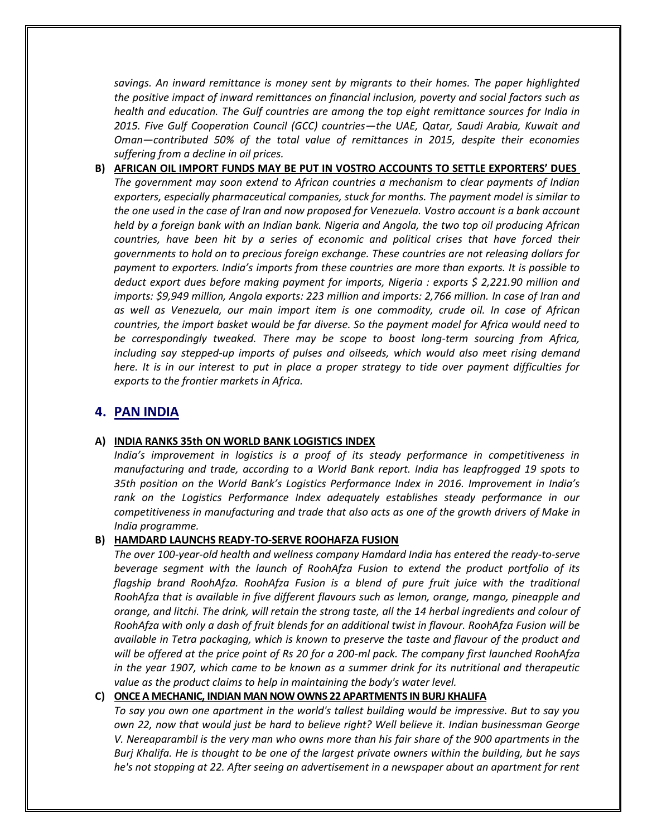*savings. An inward remittance is money sent by migrants to their homes. The paper highlighted the positive impact of inward remittances on financial inclusion, poverty and social factors such as health and education. The Gulf countries are among the top eight remittance sources for India in 2015. Five Gulf Cooperation Council (GCC) countries—the UAE, Qatar, Saudi Arabia, Kuwait and Oman—contributed 50% of the total value of remittances in 2015, despite their economies suffering from a decline in oil prices.*

**B) AFRICAN OIL IMPORT FUNDS MAY BE PUT IN VOSTRO ACCOUNTS TO SETTLE EXPORTERS' DUES** *The government may soon extend to African countries a mechanism to clear payments of Indian exporters, especially pharmaceutical companies, stuck for months. The payment model is similar to the one used in the case of Iran and now proposed for Venezuela. Vostro account is a bank account held by a foreign bank with an Indian bank. Nigeria and Angola, the two top oil producing African countries, have been hit by a series of economic and political crises that have forced their governments to hold on to precious foreign exchange. These countries are not releasing dollars for payment to exporters. India's imports from these countries are more than exports. It is possible to deduct export dues before making payment for imports, Nigeria : exports \$ 2,221.90 million and imports: \$9,949 million, Angola exports: 223 million and imports: 2,766 million. In case of Iran and as well as Venezuela, our main import item is one commodity, crude oil. In case of African countries, the import basket would be far diverse. So the payment model for Africa would need to be correspondingly tweaked. There may be scope to boost long-term sourcing from Africa, including say stepped-up imports of pulses and oilseeds, which would also meet rising demand here. It is in our interest to put in place a proper strategy to tide over payment difficulties for exports to the frontier markets in Africa.*

# **4. PAN INDIA**

# **A) INDIA RANKS 35th ON WORLD BANK LOGISTICS INDEX**

*India's improvement in logistics is a proof of its steady performance in competitiveness in manufacturing and trade, according to a World Bank report. India has leapfrogged 19 spots to 35th position on the World Bank's Logistics Performance Index in 2016. Improvement in India's rank on the Logistics Performance Index adequately establishes steady performance in our competitiveness in manufacturing and trade that also acts as one of the growth drivers of Make in India programme.*

#### **B) HAMDARD LAUNCHS READY-TO-SERVE ROOHAFZA FUSION**

*The over 100-year-old health and wellness company Hamdard India has entered the ready-to-serve beverage segment with the launch of RoohAfza Fusion to extend the product portfolio of its flagship brand RoohAfza. RoohAfza Fusion is a blend of pure fruit juice with the traditional RoohAfza that is available in five different flavours such as lemon, orange, mango, pineapple and orange, and litchi. The drink, will retain the strong taste, all the 14 herbal ingredients and colour of RoohAfza with only a dash of fruit blends for an additional twist in flavour. RoohAfza Fusion will be available in Tetra packaging, which is known to preserve the taste and flavour of the product and will be offered at the price point of Rs 20 for a 200-ml pack. The company first launched RoohAfza in the year 1907, which came to be known as a summer drink for its nutritional and therapeutic value as the product claims to help in maintaining the body's water level.*

#### **C) ONCE A MECHANIC, INDIAN MAN NOW OWNS 22 APARTMENTS IN BURJ KHALIFA**

*To say you own one apartment in the world's tallest building would be impressive. But to say you own 22, now that would just be hard to believe right? Well believe it. Indian businessman George V. Nereaparambil is the very man who owns more than his fair share of the 900 apartments in the Burj Khalifa. He is thought to be one of the largest private owners within the building, but he says he's not stopping at 22. After seeing an advertisement in a newspaper about an apartment for rent*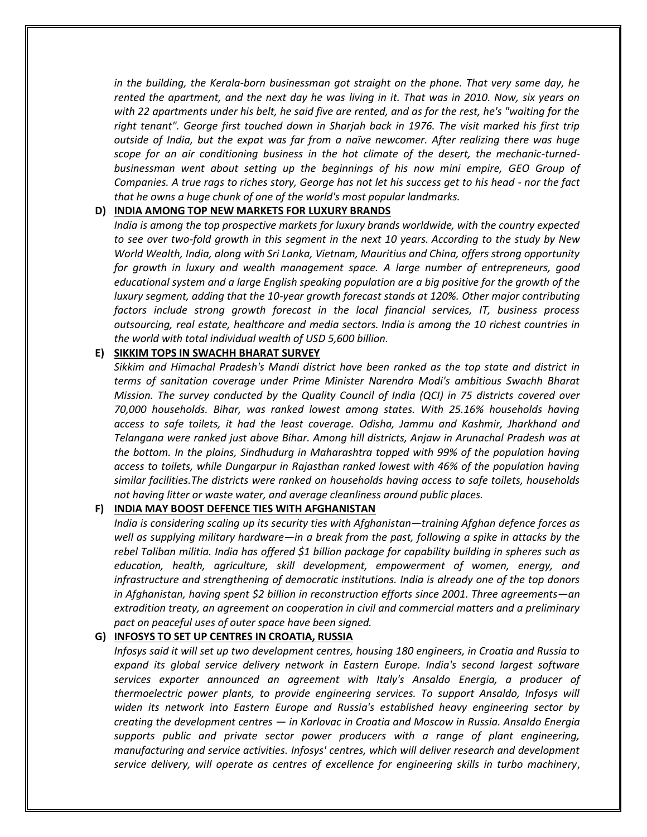*in the building, the Kerala-born businessman got straight on the phone. That very same day, he rented the apartment, and the next day he was living in it. That was in 2010. Now, six years on with 22 apartments under his belt, he said five are rented, and as for the rest, he's "waiting for the right tenant". George first touched down in Sharjah back in 1976. The visit marked his first trip outside of India, but the expat was far from a naïve newcomer. After realizing there was huge scope for an air conditioning business in the hot climate of the desert, the mechanic-turnedbusinessman went about setting up the beginnings of his now mini empire, GEO Group of Companies. A true rags to riches story, George has not let his success get to his head - nor the fact that he owns a huge chunk of one of the world's most popular landmarks.*

#### **D) INDIA AMONG TOP NEW MARKETS FOR LUXURY BRANDS**

*India is among the top prospective markets for luxury brands worldwide, with the country expected to see over two-fold growth in this segment in the next 10 years. According to the study by New World Wealth, India, along with Sri Lanka, Vietnam, Mauritius and China, offers strong opportunity for growth in luxury and wealth management space. A large number of entrepreneurs, good educational system and a large English speaking population are a big positive for the growth of the luxury segment, adding that the 10-year growth forecast stands at 120%. Other major contributing factors include strong growth forecast in the local financial services, IT, business process outsourcing, real estate, healthcare and media sectors. India is among the 10 richest countries in the world with total individual wealth of USD 5,600 billion.*

# **E) SIKKIM TOPS IN SWACHH BHARAT SURVEY**

*Sikkim and Himachal Pradesh's Mandi district have been ranked as the top state and district in terms of sanitation coverage under Prime Minister Narendra Modi's ambitious Swachh Bharat Mission. The survey conducted by the Quality Council of India (QCI) in 75 districts covered over 70,000 households. Bihar, was ranked lowest among states. With 25.16% households having access to safe toilets, it had the least coverage. Odisha, Jammu and Kashmir, Jharkhand and Telangana were ranked just above Bihar. Among hill districts, Anjaw in Arunachal Pradesh was at the bottom. In the plains, Sindhudurg in Maharashtra topped with 99% of the population having access to toilets, while Dungarpur in Rajasthan ranked lowest with 46% of the population having similar facilities.The districts were ranked on households having access to safe toilets, households not having litter or waste water, and average cleanliness around public places.*

# **F) INDIA MAY BOOST DEFENCE TIES WITH AFGHANISTAN**

*India is considering scaling up its security ties with Afghanistan—training Afghan defence forces as well as supplying military hardware—in a break from the past, following a spike in attacks by the rebel Taliban militia. India has offered \$1 billion package for capability building in spheres such as education, health, agriculture, skill development, empowerment of women, energy, and infrastructure and strengthening of democratic institutions. India is already one of the top donors in Afghanistan, having spent \$2 billion in reconstruction efforts since 2001. Three agreements—an extradition treaty, an agreement on cooperation in civil and commercial matters and a preliminary pact on peaceful uses of outer space have been signed.*

# **G) INFOSYS TO SET UP CENTRES IN CROATIA, RUSSIA**

*Infosys said it will set up two development centres, housing 180 engineers, in Croatia and Russia to expand its global service delivery network in Eastern Europe. India's second largest software services exporter announced an agreement with Italy's Ansaldo Energia, a producer of thermoelectric power plants, to provide engineering services. To support Ansaldo, Infosys will widen its network into Eastern Europe and Russia's established heavy engineering sector by creating the development centres — in Karlovac in Croatia and Moscow in Russia. Ansaldo Energia supports public and private sector power producers with a range of plant engineering, manufacturing and service activities. Infosys' centres, which will deliver research and development service delivery, will operate as centres of excellence for engineering skills in turbo machinery*,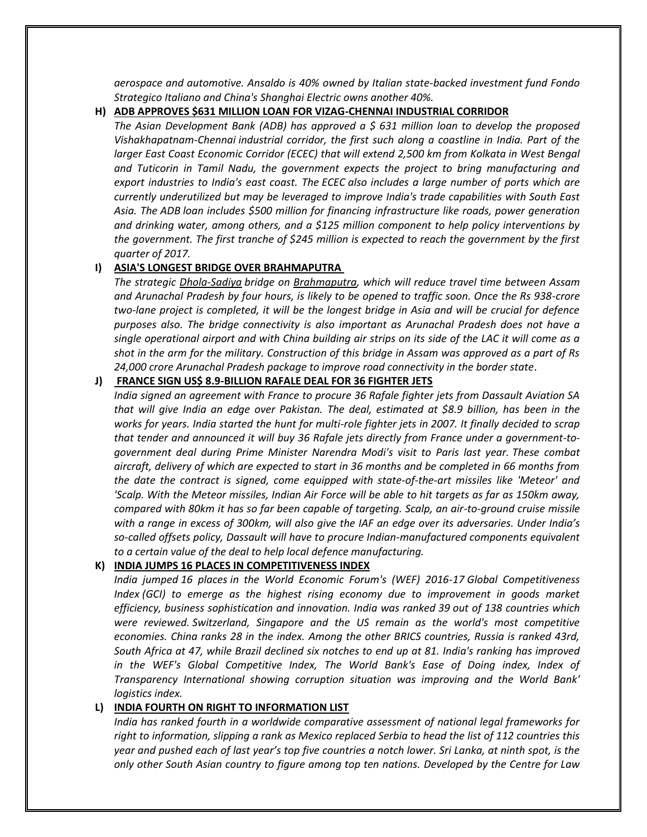*aerospace and automotive. Ansaldo is 40% owned by Italian state-backed investment fund Fondo Strategico Italiano and China's Shanghai Electric owns another 40%.*

#### **H) ADB APPROVES \$631 MILLION LOAN FOR VIZAG-CHENNAI INDUSTRIAL CORRIDOR**

*The Asian Development Bank (ADB) has approved a \$ 631 million loan to develop the proposed Vishakhapatnam-Chennai industrial corridor, the first such along a coastline in India. Part of the larger East Coast Economic Corridor (ECEC) that will extend 2,500 km from Kolkata in West Bengal and Tuticorin in Tamil Nadu, the government expects the project to bring manufacturing and export industries to India's east coast. The ECEC also includes a large number of ports which are currently underutilized but may be leveraged to improve India's trade capabilities with South East Asia. The ADB loan includes \$500 million for financing infrastructure like roads, power generation and drinking water, among others, and a \$125 million component to help policy interventions by the government. The first tranche of \$245 million is expected to reach the government by the first quarter of 2017.*

#### **I) ASIA'S LONGEST BRIDGE OVER BRAHMAPUTRA**

*The strategic Dhola-Sadiya bridge on Brahmaputra, which will reduce travel time between Assam and Arunachal Pradesh by four hours, is likely to be opened to traffic soon. Once the Rs 938-crore two-lane project is completed, it will be the longest bridge in Asia and will be crucial for defence purposes also. The bridge connectivity is also important as Arunachal Pradesh does not have a single operational airport and with China building air strips on its side of the LAC it will come as a shot in the arm for the military. Construction of this bridge in Assam was approved as a part of Rs 24,000 crore Arunachal Pradesh package to improve road connectivity in the border state*.

#### **J) FRANCE SIGN US\$ 8.9-BILLION RAFALE DEAL FOR 36 FIGHTER JETS**

*India signed an agreement with France to procure 36 Rafale fighter jets from Dassault Aviation SA that will give India an edge over Pakistan. The deal, estimated at \$8.9 billion, has been in the works for years. India started the hunt for multi-role fighter jets in 2007. It finally decided to scrap that tender and announced it will buy 36 Rafale jets directly from France under a government-togovernment deal during Prime Minister Narendra Modi's visit to Paris last year. These combat aircraft, delivery of which are expected to start in 36 months and be completed in 66 months from the date the contract is signed, come equipped with state-of-the-art missiles like 'Meteor' and 'Scalp. With the Meteor missiles, Indian Air Force will be able to hit targets as far as 150km away, compared with 80km it has so far been capable of targeting. Scalp, an air-to-ground cruise missile with a range in excess of 300km, will also give the IAF an edge over its adversaries. Under India's so-called offsets policy, Dassault will have to procure Indian-manufactured components equivalent to a certain value of the deal to help local defence manufacturing.*

#### **K) INDIA JUMPS 16 PLACES IN COMPETITIVENESS INDEX**

*India jumped 16 places in the World Economic Forum's (WEF) 2016-17 Global Competitiveness Index (GCI) to emerge as the highest rising economy due to improvement in goods market efficiency, business sophistication and innovation. India was ranked 39 out of 138 countries which were reviewed. Switzerland, Singapore and the US remain as the world's most competitive economies. China ranks 28 in the index. Among the other BRICS countries, Russia is ranked 43rd, South Africa at 47, while Brazil declined six notches to end up at 81. India's ranking has improved in the WEF's Global Competitive Index, The World Bank's Ease of Doing index, Index of Transparency International showing corruption situation was improving and the World Bank' logistics index.*

#### **L) INDIA FOURTH ON RIGHT TO INFORMATION LIST**

*India has ranked fourth in a worldwide comparative assessment of national legal frameworks for right to information, slipping a rank as Mexico replaced Serbia to head the list of 112 countries this year and pushed each of last year's top five countries a notch lower. Sri Lanka, at ninth spot, is the only other South Asian country to figure among top ten nations. Developed by the Centre for Law*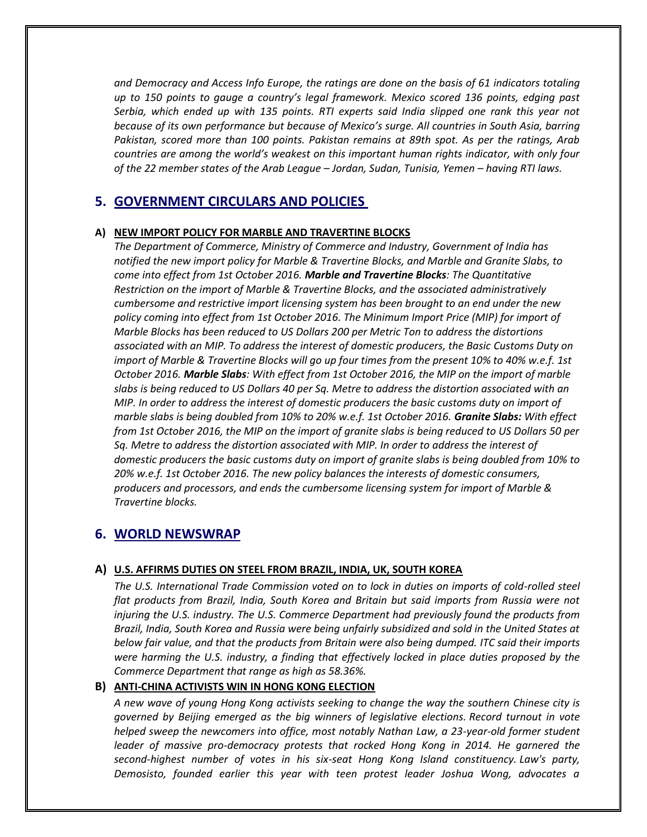*and Democracy and Access Info Europe, the ratings are done on the basis of 61 indicators totaling up to 150 points to gauge a country's legal framework. Mexico scored 136 points, edging past Serbia, which ended up with 135 points. RTI experts said India slipped one rank this year not because of its own performance but because of Mexico's surge. All countries in South Asia, barring Pakistan, scored more than 100 points. Pakistan remains at 89th spot. As per the ratings, Arab countries are among the world's weakest on this important human rights indicator, with only four of the 22 member states of the Arab League – Jordan, Sudan, Tunisia, Yemen – having RTI laws.*

# **5. GOVERNMENT CIRCULARS AND POLICIES**

#### **A) NEW IMPORT POLICY FOR MARBLE AND TRAVERTINE BLOCKS**

*The Department of Commerce, Ministry of Commerce and Industry, Government of India has notified the new import policy for Marble & Travertine Blocks, and Marble and Granite Slabs, to come into effect from 1st October 2016. Marble and Travertine Blocks: The Quantitative Restriction on the import of Marble & Travertine Blocks, and the associated administratively cumbersome and restrictive import licensing system has been brought to an end under the new policy coming into effect from 1st October 2016. The Minimum Import Price (MIP) for import of Marble Blocks has been reduced to US Dollars 200 per Metric Ton to address the distortions associated with an MIP. To address the interest of domestic producers, the Basic Customs Duty on import of Marble & Travertine Blocks will go up four times from the present 10% to 40% w.e.f. 1st October 2016. Marble Slabs: With effect from 1st October 2016, the MIP on the import of marble slabs is being reduced to US Dollars 40 per Sq. Metre to address the distortion associated with an MIP. In order to address the interest of domestic producers the basic customs duty on import of marble slabs is being doubled from 10% to 20% w.e.f. 1st October 2016. Granite Slabs: With effect from 1st October 2016, the MIP on the import of granite slabs is being reduced to US Dollars 50 per Sq. Metre to address the distortion associated with MIP. In order to address the interest of domestic producers the basic customs duty on import of granite slabs is being doubled from 10% to 20% w.e.f. 1st October 2016. The new policy balances the interests of domestic consumers, producers and processors, and ends the cumbersome licensing system for import of Marble & Travertine blocks.*

# **6. WORLD NEWSWRAP**

#### **A) U.S. AFFIRMS DUTIES ON STEEL FROM BRAZIL, INDIA, UK, SOUTH KOREA**

*The U.S. International Trade Commission voted on to lock in duties on imports of cold-rolled steel flat products from Brazil, India, South Korea and Britain but said imports from Russia were not injuring the U.S. industry. The U.S. Commerce Department had previously found the products from Brazil, India, South Korea and Russia were being unfairly subsidized and sold in the United States at below fair value, and that the products from Britain were also being dumped. ITC said their imports were harming the U.S. industry, a finding that effectively locked in place duties proposed by the Commerce Department that range as high as 58.36%.*

#### **B) ANTI-CHINA ACTIVISTS WIN IN HONG KONG ELECTION**

*A new wave of young Hong Kong activists seeking to change the way the southern Chinese city is governed by Beijing emerged as the big winners of legislative elections. Record turnout in vote helped sweep the newcomers into office, most notably Nathan Law, a 23-year-old former student leader of massive pro-democracy protests that rocked Hong Kong in 2014. He garnered the second-highest number of votes in his six-seat Hong Kong Island constituency. Law's party, Demosisto, founded earlier this year with teen protest leader Joshua Wong, advocates a*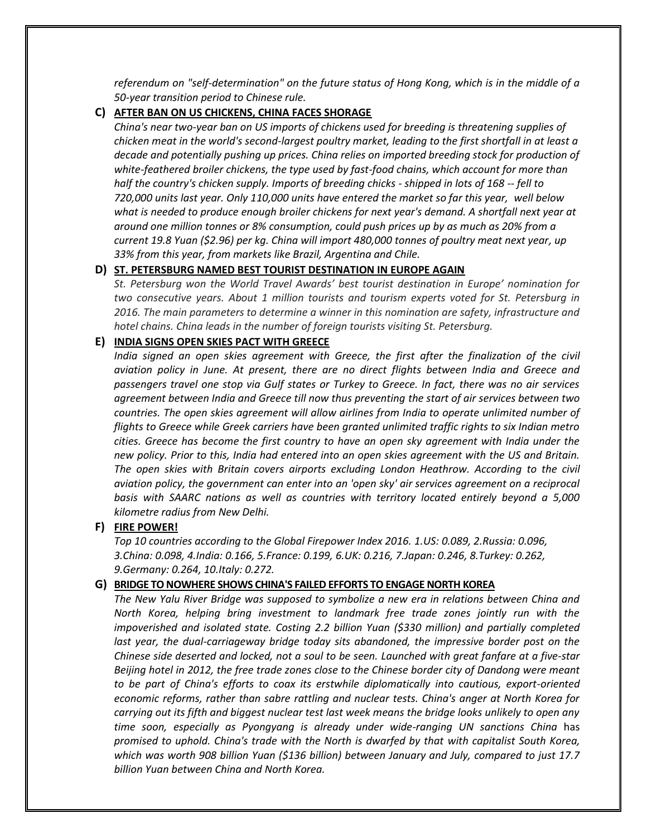*referendum on "self-determination" on the future status of Hong Kong, which is in the middle of a 50-year transition period to Chinese rule.*

#### **C) AFTER BAN ON US CHICKENS, CHINA FACES SHORAGE**

*China's near two-year ban on US imports of chickens used for breeding is threatening supplies of chicken meat in the world's second-largest poultry market, leading to the first shortfall in at least a decade and potentially pushing up prices. China relies on imported breeding stock for production of white-feathered broiler chickens, the type used by fast-food chains, which account for more than half the country's chicken supply. Imports of breeding chicks - shipped in lots of 168 -- fell to 720,000 units last year. Only 110,000 units have entered the market so far this year, well below what is needed to produce enough broiler chickens for next year's demand. A shortfall next year at around one million tonnes or 8% consumption, could push prices up by as much as 20% from a current 19.8 Yuan (\$2.96) per kg. China will import 480,000 tonnes of poultry meat next year, up 33% from this year, from markets like Brazil, Argentina and Chile.*

# **D) ST. PETERSBURG NAMED BEST TOURIST DESTINATION IN EUROPE AGAIN**

*St. Petersburg won the World Travel Awards' best tourist destination in Europe' nomination for two consecutive years. About 1 million tourists and tourism experts voted for St. Petersburg in 2016. The main parameters to determine a winner in this nomination are safety, infrastructure and hotel chains. China leads in the number of foreign tourists visiting St. Petersburg.*

#### **E) INDIA SIGNS OPEN SKIES PACT WITH GREECE**

*India signed an open skies agreement with Greece, the first after the finalization of the civil aviation policy in June. At present, there are no direct flights between India and Greece and passengers travel one stop via Gulf states or Turkey to Greece. In fact, there was no air services agreement between India and Greece till now thus preventing the start of air services between two countries. The open skies agreement will allow airlines from India to operate unlimited number of flights to Greece while Greek carriers have been granted unlimited traffic rights to six Indian metro cities. Greece has become the first country to have an open sky agreement with India under the new policy. Prior to this, India had entered into an open skies agreement with the US and Britain. The open skies with Britain covers airports excluding London Heathrow. According to the civil aviation policy, the government can enter into an 'open sky' air services agreement on a reciprocal basis with SAARC nations as well as countries with territory located entirely beyond a 5,000 kilometre radius from New Delhi.*

# **F) FIRE POWER!**

*Top 10 countries according to the Global Firepower Index 2016. 1.US: 0.089, 2.Russia: 0.096, 3.China: 0.098, 4.India: 0.166, 5.France: 0.199, 6.UK: 0.216, 7.Japan: 0.246, 8.Turkey: 0.262, 9.Germany: 0.264, 10.Italy: 0.272.*

#### **G) BRIDGE TO NOWHERE SHOWS CHINA'S FAILED EFFORTS TO ENGAGE NORTH KOREA**

*The New Yalu River Bridge was supposed to symbolize a new era in relations between China and North Korea, helping bring investment to landmark free trade zones jointly run with the impoverished and isolated state. Costing 2.2 billion Yuan (\$330 million) and partially completed last year, the dual-carriageway bridge today sits abandoned, the impressive border post on the Chinese side deserted and locked, not a soul to be seen. Launched with great fanfare at a five-star Beijing hotel in 2012, the free trade zones close to the Chinese border city of Dandong were meant to be part of China's efforts to coax its erstwhile diplomatically into cautious, export-oriented economic reforms, rather than sabre rattling and nuclear tests. China's anger at North Korea for carrying out its fifth and biggest nuclear test last week means the bridge looks unlikely to open any time soon, especially as Pyongyang is already under wide-ranging UN sanctions China* has *promised to uphold. China's trade with the North is dwarfed by that with capitalist South Korea, which was worth 908 billion Yuan (\$136 billion) between January and July, compared to just 17.7 billion Yuan between China and North Korea.*